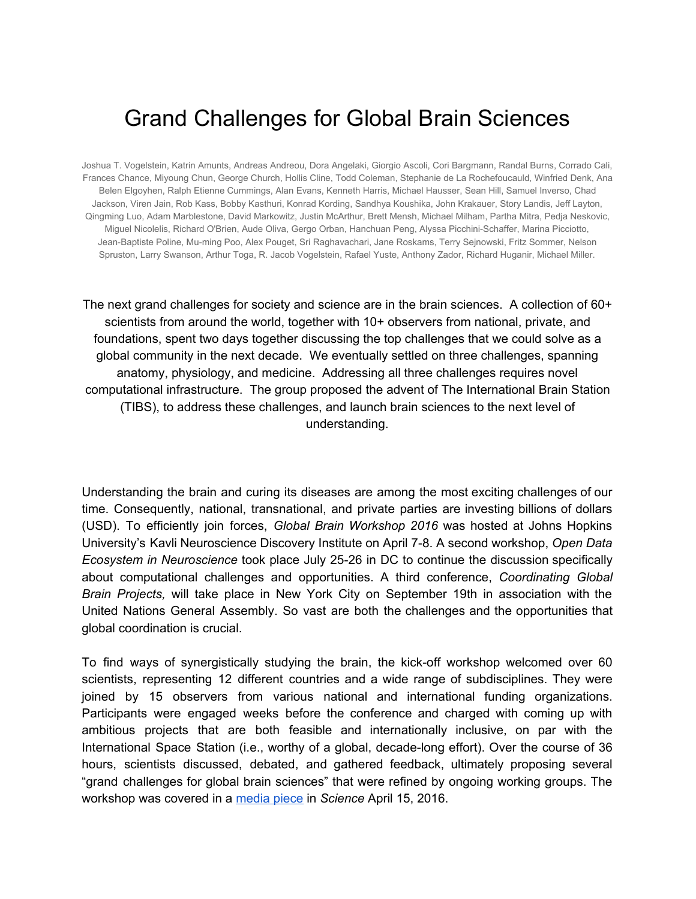# Grand Challenges for Global Brain Sciences

Joshua T. Vogelstein, Katrin Amunts, Andreas Andreou, Dora Angelaki, Giorgio Ascoli, Cori Bargmann, Randal Burns, Corrado Cali, Frances Chance, Miyoung Chun, George Church, Hollis Cline, Todd Coleman, Stephanie de La Rochefoucauld, Winfried Denk, Ana Belen Elgoyhen, Ralph Etienne Cummings, Alan Evans, Kenneth Harris, Michael Hausser, Sean Hill, Samuel Inverso, Chad Jackson, Viren Jain, Rob Kass, Bobby Kasthuri, Konrad Kording, Sandhya Koushika, John Krakauer, Story Landis, Jeff Layton, Qingming Luo, Adam Marblestone, David Markowitz, Justin McArthur, Brett Mensh, Michael Milham, Partha Mitra, Pedja Neskovic, Miguel Nicolelis, Richard O'Brien, Aude Oliva, Gergo Orban, Hanchuan Peng, Alyssa Picchini-Schaffer, Marina Picciotto, Jean-Baptiste Poline, Mu-ming Poo, Alex Pouget, Sri Raghavachari, Jane Roskams, Terry Sejnowski, Fritz Sommer, Nelson Spruston, Larry Swanson, Arthur Toga, R. Jacob Vogelstein, Rafael Yuste, Anthony Zador, Richard Huganir, Michael Miller.

The next grand challenges for society and science are in the brain sciences. A collection of 60+ scientists from around the world, together with 10+ observers from national, private, and foundations, spent two days together discussing the top challenges that we could solve as a global community in the next decade. We eventually settled on three challenges, spanning anatomy, physiology, and medicine. Addressing all three challenges requires novel computational infrastructure. The group proposed the advent of The International Brain Station (TIBS), to address these challenges, and launch brain sciences to the next level of understanding.

Understanding the brain and curing its diseases are among the most exciting challenges of our time. Consequently, national, transnational, and private parties are investing billions of dollars (USD). To efficiently join forces, *Global Brain Workshop 2016* was hosted at Johns Hopkins University's Kavli Neuroscience Discovery Institute on April 7-8. A second workshop, Open Data *Ecosystem in Neuroscience* took place July 2526 in DC to continue the discussion specifically about computational challenges and opportunities. A third conference, *Coordinating Global Brain Projects,* will take place in New York City on September 19th in association with the United Nations General Assembly. So vast are both the challenges and the opportunities that global coordination is crucial.

To find ways of synergistically studying the brain, the kick-off workshop welcomed over 60 scientists, representing 12 different countries and a wide range of subdisciplines. They were joined by 15 observers from various national and international funding organizations. Participants were engaged weeks before the conference and charged with coming up with ambitious projects that are both feasible and internationally inclusive, on par with the International Space Station (i.e., worthy of a global, decade-long effort). Over the course of 36 hours, scientists discussed, debated, and gathered feedback, ultimately proposing several "grand challenges for global brain sciences" that were refined by ongoing working groups. The workshop was covered in a [media](http://science.sciencemag.org/content/352/6283/277) piece in *Science* April 15, 2016.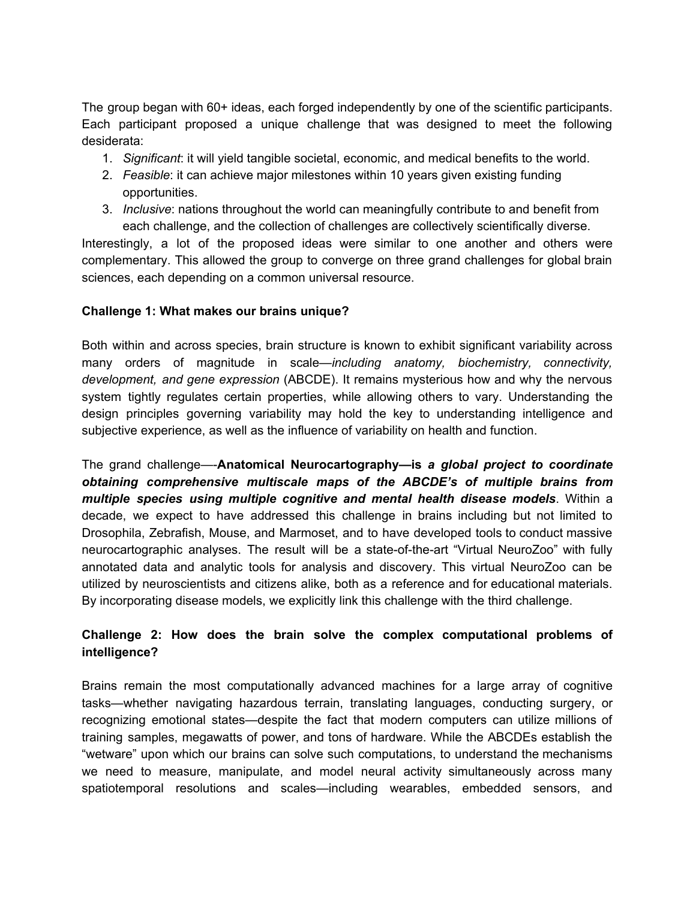The group began with 60+ ideas, each forged independently by one of the scientific participants. Each participant proposed a unique challenge that was designed to meet the following desiderata:

- 1. *Significant*: it will yield tangible societal, economic, and medical benefits to the world.
- 2. *Feasible*: it can achieve major milestones within 10 years given existing funding opportunities.
- 3. *Inclusive*: nations throughout the world can meaningfully contribute to and benefit from each challenge, and the collection of challenges are collectively scientifically diverse.

Interestingly, a lot of the proposed ideas were similar to one another and others were complementary. This allowed the group to converge on three grand challenges for global brain sciences, each depending on a common universal resource.

#### **Challenge 1: What makes our brains unique?**

Both within and across species, brain structure is known to exhibit significant variability across many orders of magnitude in scale—*including anatomy, biochemistry, connectivity, development, and gene expression* (ABCDE). It remains mysterious how and why the nervous system tightly regulates certain properties, while allowing others to vary. Understanding the design principles governing variability may hold the key to understanding intelligence and subjective experience, as well as the influence of variability on health and function.

The grand challenge—**Anatomical Neurocartography—is** *a global project to coordinate obtaining comprehensive multiscale maps of the ABCDE's of multiple brains from multiple species using multiple cognitive and mental health disease models*. Within a decade, we expect to have addressed this challenge in brains including but not limited to Drosophila, Zebrafish, Mouse, and Marmoset, and to have developed tools to conduct massive neurocartographic analyses. The result will be a state-of-the-art "Virtual NeuroZoo" with fully annotated data and analytic tools for analysis and discovery. This virtual NeuroZoo can be utilized by neuroscientists and citizens alike, both as a reference and for educational materials. By incorporating disease models, we explicitly link this challenge with the third challenge.

# **Challenge 2: How does the brain solve the complex computational problems of intelligence?**

Brains remain the most computationally advanced machines for a large array of cognitive tasks—whether navigating hazardous terrain, translating languages, conducting surgery, or recognizing emotional states—despite the fact that modern computers can utilize millions of training samples, megawatts of power, and tons of hardware. While the ABCDEs establish the "wetware" upon which our brains can solve such computations, to understand the mechanisms we need to measure, manipulate, and model neural activity simultaneously across many spatiotemporal resolutions and scales—including wearables, embedded sensors, and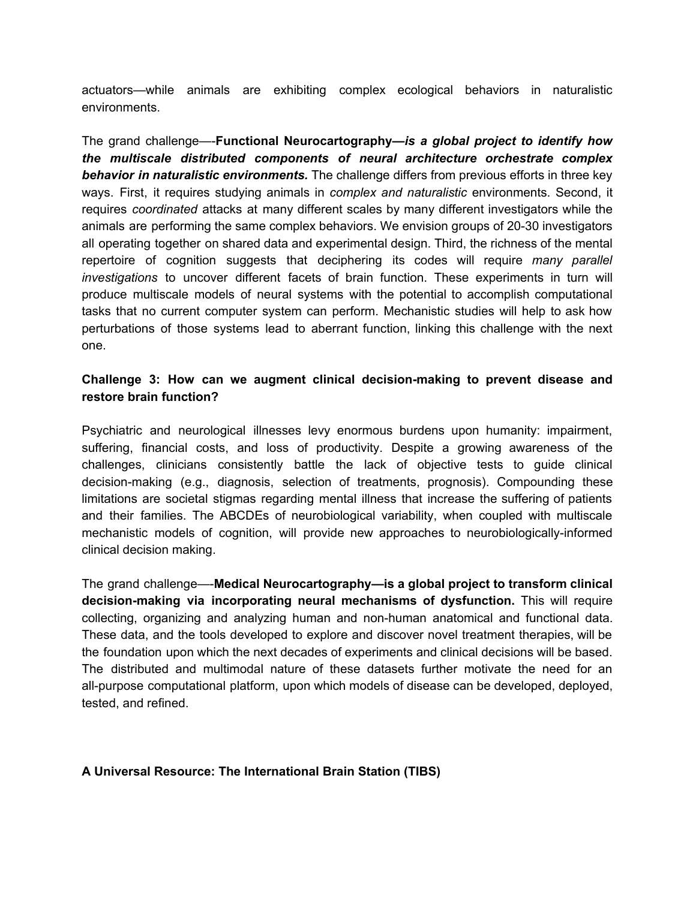actuators—while animals are exhibiting complex ecological behaviors in naturalistic environments.

The grand challenge—**Functional Neurocartography—***i s a global project to identify how the multiscale distributed components of neural architecture orchestrate complex behavior in naturalistic environments.* The challenge differs from previous efforts in three key ways. First, it requires studying animals in *complex and naturalistic* environments. Second, it requires *coordinated* attacks at many different scales by many different investigators while the animals are performing the same complex behaviors. We envision groups of 20-30 investigators all operating together on shared data and experimental design. Third, the richness of the mental repertoire of cognition suggests that deciphering its codes will require *many parallel investigations* to uncover different facets of brain function. These experiments in turn will produce multiscale models of neural systems with the potential to accomplish computational tasks that no current computer system can perform. Mechanistic studies will help to ask how perturbations of those systems lead to aberrant function, linking this challenge with the next one.

### **Challenge 3: How can we augment clinical decisionmaking to prevent disease and restore brain function?**

Psychiatric and neurological illnesses levy enormous burdens upon humanity: impairment, suffering, financial costs, and loss of productivity. Despite a growing awareness of the challenges, clinicians consistently battle the lack of objective tests to guide clinical decision-making (e.g., diagnosis, selection of treatments, prognosis). Compounding these limitations are societal stigmas regarding mental illness that increase the suffering of patients and their families. The ABCDEs of neurobiological variability, when coupled with multiscale mechanistic models of cognition, will provide new approaches to neurobiologically-informed clinical decision making.

The grand challenge—**Medical Neurocartography—is a global project to transform clinical decision-making via incorporating neural mechanisms of dysfunction. This will require** collecting, organizing and analyzing human and non-human anatomical and functional data. These data, and the tools developed to explore and discover novel treatment therapies, will be the foundation upon which the next decades of experiments and clinical decisions will be based. The distributed and multimodal nature of these datasets further motivate the need for an all-purpose computational platform, upon which models of disease can be developed, deployed, tested, and refined.

### **A Universal Resource: The International Brain Station (TIBS)**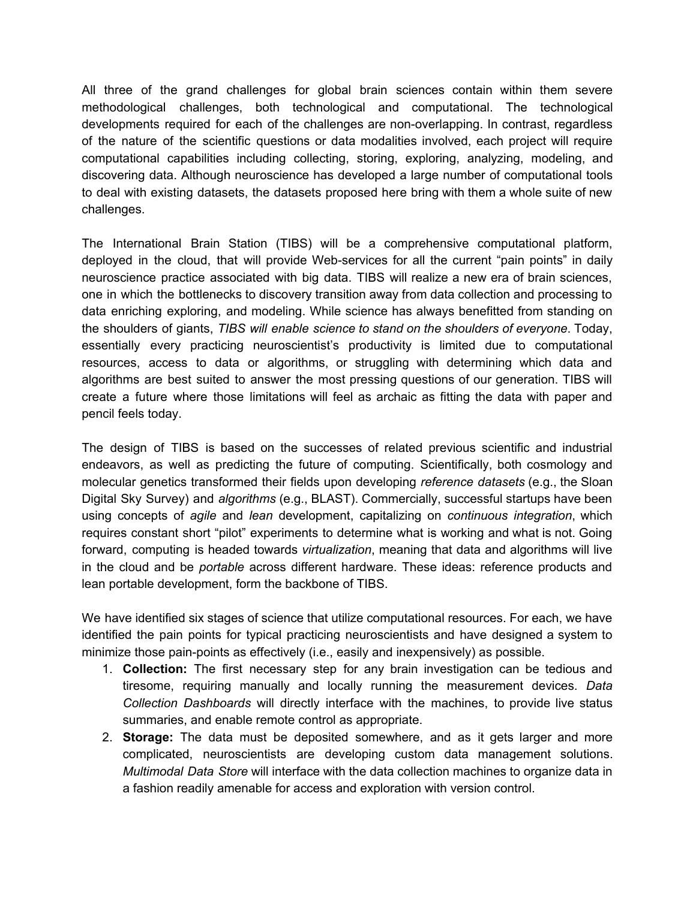All three of the grand challenges for global brain sciences contain within them severe methodological challenges, both technological and computational. The technological developments required for each of the challenges are non-overlapping. In contrast, regardless of the nature of the scientific questions or data modalities involved, each project will require computational capabilities including collecting, storing, exploring, analyzing, modeling, and discovering data. Although neuroscience has developed a large number of computational tools to deal with existing datasets, the datasets proposed here bring with them a whole suite of new challenges.

The International Brain Station (TIBS) will be a comprehensive computational platform, deployed in the cloud, that will provide Web-services for all the current "pain points" in daily neuroscience practice associated with big data. TIBS will realize a new era of brain sciences, one in which the bottlenecks to discovery transition away from data collection and processing to data enriching exploring, and modeling. While science has always benefitted from standing on the shoulders of giants, *TIBS will enable science to stand on the shoulders of everyone*. Today, essentially every practicing neuroscientist's productivity is limited due to computational resources, access to data or algorithms, or struggling with determining which data and algorithms are best suited to answer the most pressing questions of our generation. TIBS will create a future where those limitations will feel as archaic as fitting the data with paper and pencil feels today.

The design of TIBS is based on the successes of related previous scientific and industrial endeavors, as well as predicting the future of computing. Scientifically, both cosmology and molecular genetics transformed their fields upon developing *reference datasets* (e.g., the Sloan Digital Sky Survey) and *algorithms* (e.g., BLAST). Commercially, successful startups have been using concepts of *agile* and *lean* development, capitalizing on *continuous integration*, which requires constant short "pilot" experiments to determine what is working and what is not. Going forward, computing is headed towards *virtualization*, meaning that data and algorithms will live in the cloud and be *portable* across different hardware. These ideas: reference products and lean portable development, form the backbone of TIBS.

We have identified six stages of science that utilize computational resources. For each, we have identified the pain points for typical practicing neuroscientists and have designed a system to minimize those pain-points as effectively (i.e., easily and inexpensively) as possible.

- 1. **Collection:** The first necessary step for any brain investigation can be tedious and tiresome, requiring manually and locally running the measurement devices. *Data Collection Dashboards* will directly interface with the machines, to provide live status summaries, and enable remote control as appropriate.
- 2. **Storage:** The data must be deposited somewhere, and as it gets larger and more complicated, neuroscientists are developing custom data management solutions. *Multimodal Data Store* will interface with the data collection machines to organize data in a fashion readily amenable for access and exploration with version control.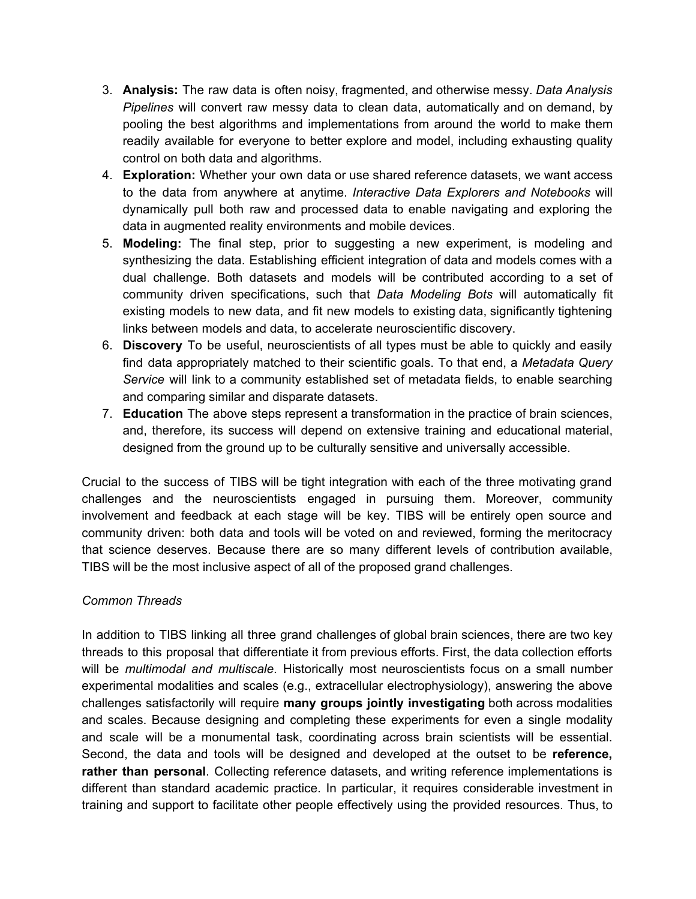- 3. **Analysis:** The raw data is often noisy, fragmented, and otherwise messy. *Data Analysis Pipelines* will convert raw messy data to clean data, automatically and on demand, by pooling the best algorithms and implementations from around the world to make them readily available for everyone to better explore and model, including exhausting quality control on both data and algorithms.
- 4. **Exploration:** Whether your own data or use shared reference datasets, we want access to the data from anywhere at anytime. *Interactive Data Explorers and Notebooks* will dynamically pull both raw and processed data to enable navigating and exploring the data in augmented reality environments and mobile devices.
- 5. **Modeling:** The final step, prior to suggesting a new experiment, is modeling and synthesizing the data. Establishing efficient integration of data and models comes with a dual challenge. Both datasets and models will be contributed according to a set of community driven specifications, such that *Data Modeling Bots* will automatically fit existing models to new data, and fit new models to existing data, significantly tightening links between models and data, to accelerate neuroscientific discovery.
- 6. **Discovery** To be useful, neuroscientists of all types must be able to quickly and easily find data appropriately matched to their scientific goals. To that end, a *Metadata Query Service* will link to a community established set of metadata fields, to enable searching and comparing similar and disparate datasets.
- 7. **Education** The above steps represent a transformation in the practice of brain sciences, and, therefore, its success will depend on extensive training and educational material, designed from the ground up to be culturally sensitive and universally accessible.

Crucial to the success of TIBS will be tight integration with each of the three motivating grand challenges and the neuroscientists engaged in pursuing them. Moreover, community involvement and feedback at each stage will be key. TIBS will be entirely open source and community driven: both data and tools will be voted on and reviewed, forming the meritocracy that science deserves. Because there are so many different levels of contribution available, TIBS will be the most inclusive aspect of all of the proposed grand challenges.

#### *Common Threads*

In addition to TIBS linking all three grand challenges of global brain sciences, there are two key threads to this proposal that differentiate it from previous efforts. First, the data collection efforts will be *multimodal and multiscale*. Historically most neuroscientists focus on a small number experimental modalities and scales (e.g., extracellular electrophysiology), answering the above challenges satisfactorily will require **many groups jointly investigating** both across modalities and scales. Because designing and completing these experiments for even a single modality and scale will be a monumental task, coordinating across brain scientists will be essential. Second, the data and tools will be designed and developed at the outset to be **reference, rather than personal**. Collecting reference datasets, and writing reference implementations is different than standard academic practice. In particular, it requires considerable investment in training and support to facilitate other people effectively using the provided resources. Thus, to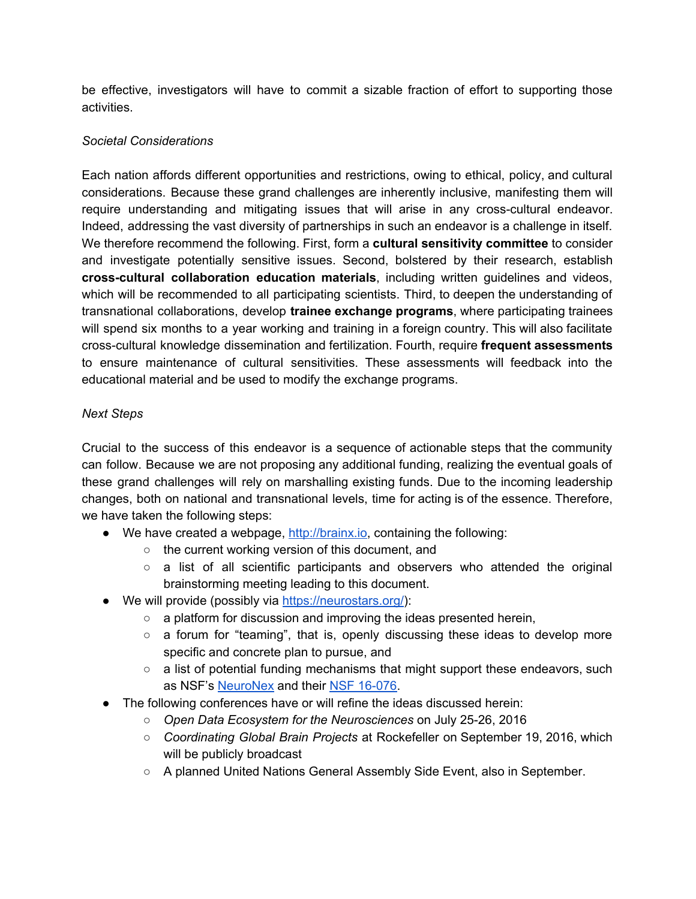be effective, investigators will have to commit a sizable fraction of effort to supporting those activities.

## *Societal Considerations*

Each nation affords different opportunities and restrictions, owing to ethical, policy, and cultural considerations. Because these grand challenges are inherently inclusive, manifesting them will require understanding and mitigating issues that will arise in any cross-cultural endeavor. Indeed, addressing the vast diversity of partnerships in such an endeavor is a challenge in itself. We therefore recommend the following. First, form a **cultural sensitivity committee** to consider and investigate potentially sensitive issues. Second, bolstered by their research, establish **crosscultural collaboration education materials**, including written guidelines and videos, which will be recommended to all participating scientists. Third, to deepen the understanding of transnational collaborations, develop **trainee exchange programs**, where participating trainees will spend six months to a year working and training in a foreign country. This will also facilitate crosscultural knowledge dissemination and fertilization. Fourth, require **frequent assessments** to ensure maintenance of cultural sensitivities. These assessments will feedback into the educational material and be used to modify the exchange programs.

### *Next Steps*

Crucial to the success of this endeavor is a sequence of actionable steps that the community can follow. Because we are not proposing any additional funding, realizing the eventual goals of these grand challenges will rely on marshalling existing funds. Due to the incoming leadership changes, both on national and transnational levels, time for acting is of the essence. Therefore, we have taken the following steps:

- We have created a webpage, [http://brainx.io](http://brainx.io/), containing the following:
	- the current working version of this document, and
	- $\circ$  a list of all scientific participants and observers who attended the original brainstorming meeting leading to this document.
- We will provide (possibly via [https://neurostars.org/\)](https://neurostars.org/):
	- a platform for discussion and improving the ideas presented herein,
	- a forum for "teaming", that is, openly discussing these ideas to develop more specific and concrete plan to pursue, and
	- $\circ$  a list of potential funding mechanisms that might support these endeavors, such as NSF's [NeuroNex](http://www.nsf.gov/pubs/2016/nsf16569/nsf16569.htm) and their NSF 16-076.
- The following conferences have or will refine the ideas discussed herein:
	- *Open Data Ecosystem for the Neurosciences* on July 2526, 2016
	- *Coordinating Global Brain Projects* at Rockefeller on September 19, 2016, which will be publicly broadcast
	- A planned United Nations General Assembly Side Event, also in September.